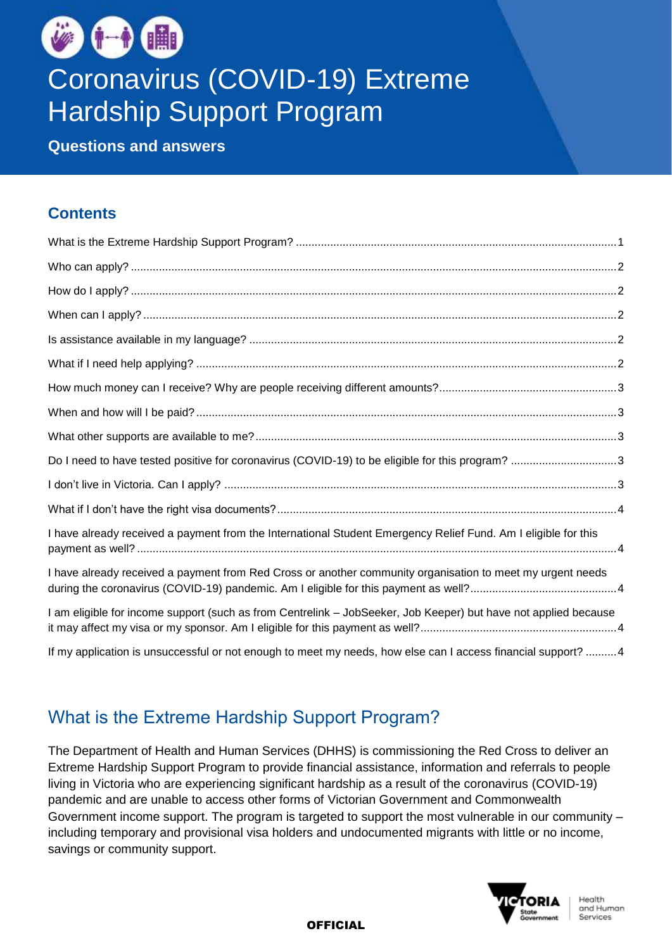

# Coronavirus (COVID-19) Extreme Hardship Support Program

**Questions and answers**

#### **Contents**

| Do I need to have tested positive for coronavirus (COVID-19) to be eligible for this program? 3                 |  |
|-----------------------------------------------------------------------------------------------------------------|--|
|                                                                                                                 |  |
|                                                                                                                 |  |
| I have already received a payment from the International Student Emergency Relief Fund. Am I eligible for this  |  |
| I have already received a payment from Red Cross or another community organisation to meet my urgent needs      |  |
| I am eligible for income support (such as from Centrelink - JobSeeker, Job Keeper) but have not applied because |  |
| If my application is unsuccessful or not enough to meet my needs, how else can I access financial support? 4    |  |

## <span id="page-0-0"></span>What is the Extreme Hardship Support Program?

The Department of Health and Human Services (DHHS) is commissioning the Red Cross to deliver an Extreme Hardship Support Program to provide financial assistance, information and referrals to people living in Victoria who are experiencing significant hardship as a result of the coronavirus (COVID-19) pandemic and are unable to access other forms of Victorian Government and Commonwealth Government income support. The program is targeted to support the most vulnerable in our community – including temporary and provisional visa holders and undocumented migrants with little or no income, savings or community support.



**OFFICIAL**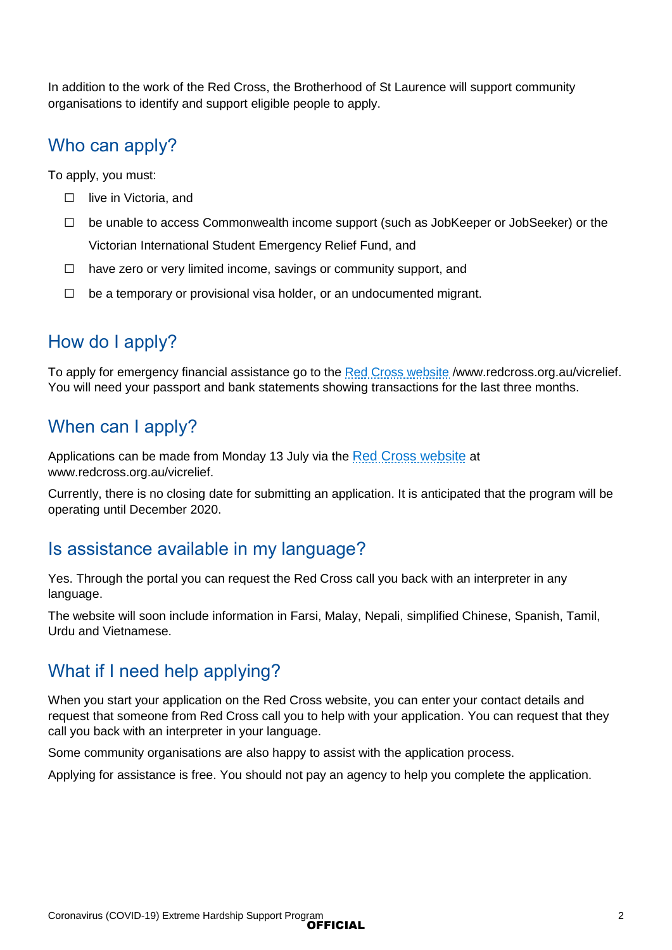In addition to the work of the Red Cross, the Brotherhood of St Laurence will support community organisations to identify and support eligible people to apply.

## <span id="page-1-0"></span>Who can apply?

To apply, you must:

- □ live in Victoria, and
- ☐ be unable to access Commonwealth income support (such as JobKeeper or JobSeeker) or the Victorian International Student Emergency Relief Fund, and
- $\Box$  have zero or very limited income, savings or community support, and
- ☐ be a temporary or provisional visa holder, or an undocumented migrant.

## <span id="page-1-1"></span>How do I apply?

To apply for emergency financial assistance go to the [Red Cross website](https://www.redcross.org.au/vicrelief) /www.redcross.org.au/vicrelief. You will need your passport and bank statements showing transactions for the last three months.

#### <span id="page-1-2"></span>When can I apply?

Applications can be made from Monday 13 July via the [Red Cross website](https://www.redcross.org.au/vicrelief) at www.redcross.org.au/vicrelief.

Currently, there is no closing date for submitting an application. It is anticipated that the program will be operating until December 2020.

#### <span id="page-1-3"></span>Is assistance available in my language?

Yes. Through the portal you can request the Red Cross call you back with an interpreter in any language.

The website will soon include information in Farsi, Malay, Nepali, simplified Chinese, Spanish, Tamil, Urdu and Vietnamese.

#### <span id="page-1-4"></span>What if I need help applying?

When you start your application on the Red Cross website, you can enter your contact details and request that someone from Red Cross call you to help with your application. You can request that they call you back with an interpreter in your language.

Some community organisations are also happy to assist with the application process.

Applying for assistance is free. You should not pay an agency to help you complete the application.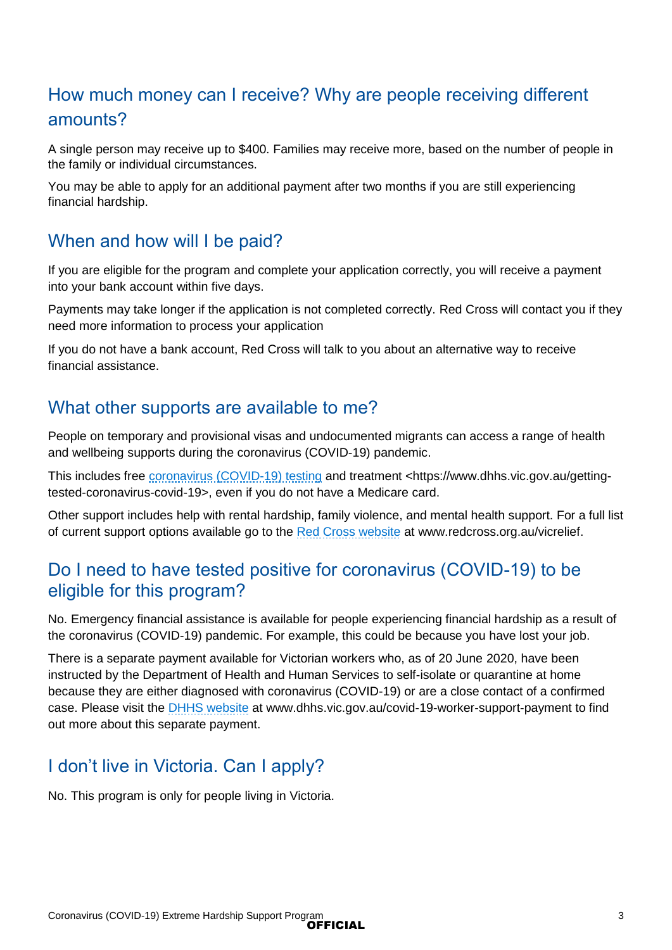# <span id="page-2-0"></span>How much money can I receive? Why are people receiving different amounts?

A single person may receive up to \$400. Families may receive more, based on the number of people in the family or individual circumstances.

You may be able to apply for an additional payment after two months if you are still experiencing financial hardship.

#### <span id="page-2-1"></span>When and how will I be paid?

If you are eligible for the program and complete your application correctly, you will receive a payment into your bank account within five days.

Payments may take longer if the application is not completed correctly. Red Cross will contact you if they need more information to process your application

If you do not have a bank account, Red Cross will talk to you about an alternative way to receive financial assistance.

#### <span id="page-2-2"></span>What other supports are available to me?

People on temporary and provisional visas and undocumented migrants can access a range of health and wellbeing supports during the coronavirus (COVID-19) pandemic.

This includes free [coronavirus \(COVID-19\) testing](https://www.dhhs.vic.gov.au/getting-tested-coronavirus-covid-19) and treatment <https://www.dhhs.vic.gov.au/gettingtested-coronavirus-covid-19>, even if you do not have a Medicare card.

Other support includes help with rental hardship, family violence, and mental health support. For a full list of current support options available go to the [Red Cross website](https://www.redcross.org.au/vicrelief) at www.redcross.org.au/vicrelief.

#### <span id="page-2-3"></span>Do I need to have tested positive for coronavirus (COVID-19) to be eligible for this program?

No. Emergency financial assistance is available for people experiencing financial hardship as a result of the coronavirus (COVID-19) pandemic. For example, this could be because you have lost your job.

There is a separate payment available for Victorian workers who, as of 20 June 2020, have been instructed by the Department of Health and Human Services to self-isolate or quarantine at home because they are either diagnosed with coronavirus (COVID-19) or are a close contact of a confirmed case. Please visit the [DHHS website](https://www.dhhs.vic.gov.au/covid-19-worker-support-payment) at www.dhhs.vic.gov.au/covid-19-worker-support-payment to find out more about this separate payment.

## <span id="page-2-4"></span>I don't live in Victoria. Can I apply?

No. This program is only for people living in Victoria.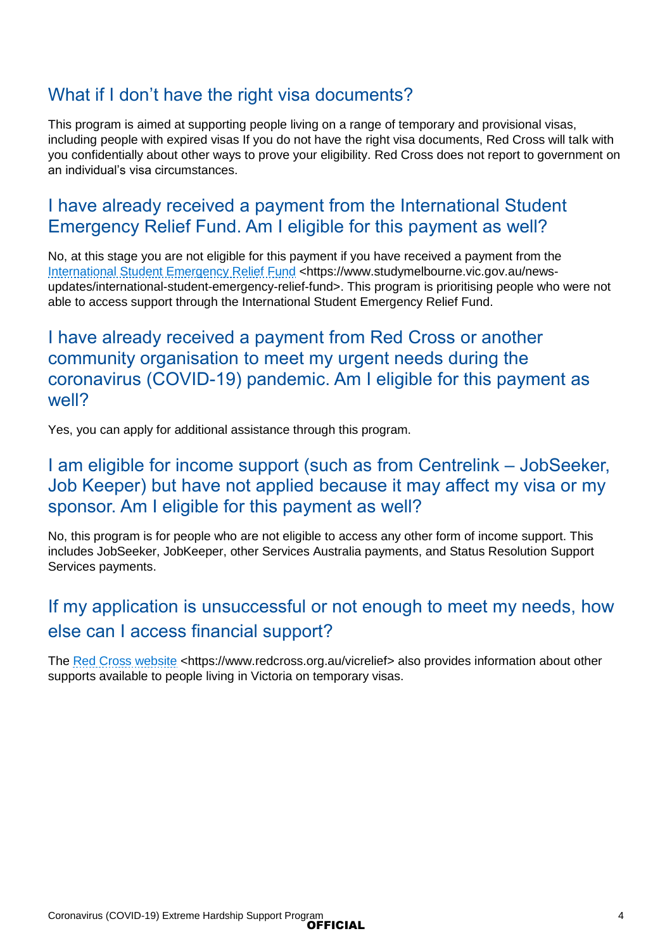### <span id="page-3-0"></span>What if I don't have the right visa documents?

This program is aimed at supporting people living on a range of temporary and provisional visas, including people with expired visas If you do not have the right visa documents, Red Cross will talk with you confidentially about other ways to prove your eligibility. Red Cross does not report to government on an individual's visa circumstances.

#### <span id="page-3-1"></span>I have already received a payment from the International Student Emergency Relief Fund. Am I eligible for this payment as well?

No, at this stage you are not eligible for this payment if you have received a payment from the [International Student Emergency Relief Fund](https://www.studymelbourne.vic.gov.au/news-updates/international-student-emergency-relief-fund) <https://www.studymelbourne.vic.gov.au/newsupdates/international-student-emergency-relief-fund>. This program is prioritising people who were not able to access support through the International Student Emergency Relief Fund.

#### <span id="page-3-2"></span>I have already received a payment from Red Cross or another community organisation to meet my urgent needs during the coronavirus (COVID-19) pandemic. Am I eligible for this payment as well?

Yes, you can apply for additional assistance through this program.

#### <span id="page-3-3"></span>I am eligible for income support (such as from Centrelink – JobSeeker, Job Keeper) but have not applied because it may affect my visa or my sponsor. Am I eligible for this payment as well?

No, this program is for people who are not eligible to access any other form of income support. This includes JobSeeker, JobKeeper, other Services Australia payments, and Status Resolution Support Services payments.

# <span id="page-3-4"></span>If my application is unsuccessful or not enough to meet my needs, how else can I access financial support?

The [Red Cross website](https://www.redcross.org.au/vicrelief) <https://www.redcross.org.au/vicrelief> also provides information about other supports available to people living in Victoria on temporary visas.